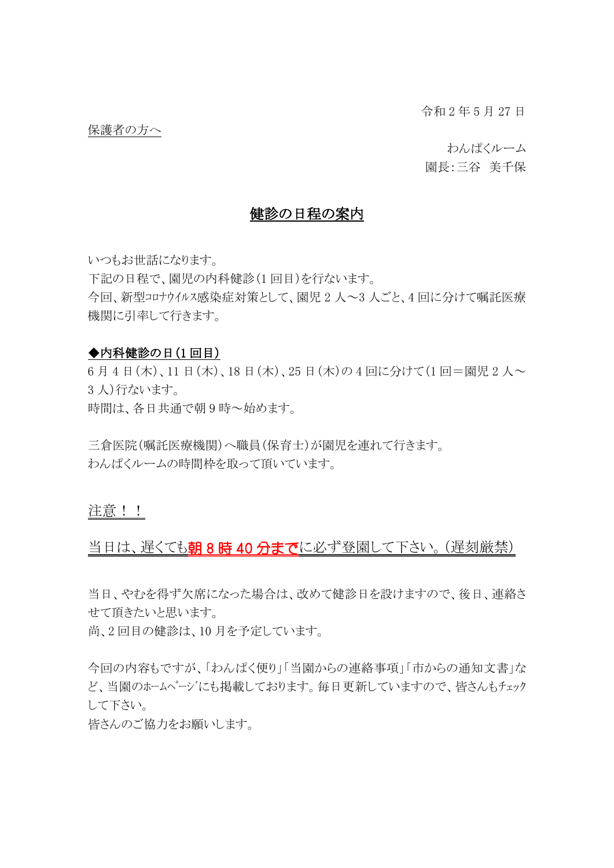令和 2 年 5 月 27 日

わんぱくルーム

園長:三谷 美千保

# 健診の日程の案内

いつもお世話になります。

下記の日程で、園児の内科健診(1 回目)を行ないます。

今回、新型コロナウイルス感染症対策として、園児 2 人~3 人ごと、4 回に分けて嘱託医療 機関に引率して行きます。

#### ◆内科健診の日(1回目)

6月4日(木)、11日(木)、18日(木)、25日(木)の4回に分けて(1回=園児2人~ 3 人)行ないます。 時間は、各日共通で朝 9 時~始めます。

三倉医院(嘱託医療機関)へ職員(保育士)が園児を連れて行きます。 わんぱくルームの時間枠を取って頂いています。

注意!!

## 当日は、遅くても朝8時40分までに必ず登園して下さい。(遅刻厳禁)

当日、やむを得ず欠席になった場合は、改めて健診日を設けますので、後日、連絡さ せて頂きたいと思います。

尚、2 回目の健診は、10 月を予定しています。

今回の内容もですが、「わんぱく便り」「当園からの連絡事項」「市からの通知文書」な ど、当園のホームページにも掲載しております。毎日更新していますので、皆さんもチェック して下さい。

皆さんのご協力をお願いします。

保護者の方へ